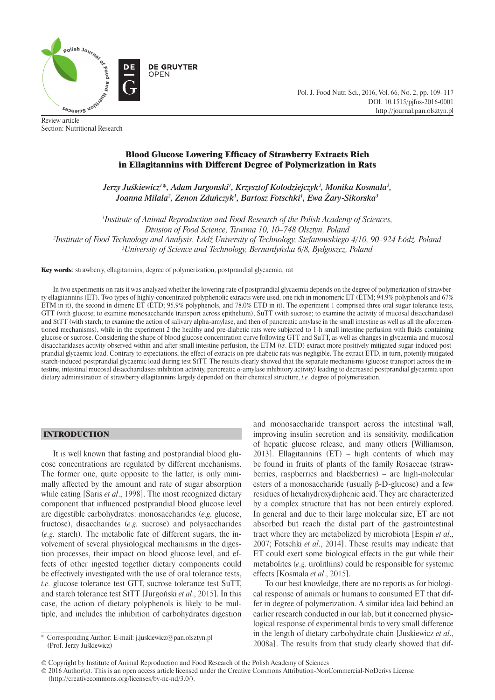

Review article Section: Nutritional Research Pol. J. Food Nutr. Sci., 2016, Vol. 66, No. 2, pp. 109–117 DOI: 10.1515/pjfns-2016-0001 http://journal.pan.olsztyn.pl

# Blood Glucose Lowering Efficacy of Strawberry Extracts Rich in Ellagitannins with Different Degree of Polymerization in Rats

*Jerzy Juśkiewicz1 \*, Adam Jurgonski1 , Krzysztof Kołodziejczyk2 , Monika Kosmala2 , Joanna Milala2 , Zenon Zduńczyk1 , Bartosz Fotschki1 , Ewa Żary-Sikorska3*

 *Institute of Animal Reproduction and Food Research of the Polish Academy of Sciences, Division of Food Science, Tuwima 10, 10–748 Olsztyn, Poland Institute of Food Technology and Analysis, Łódź University of Technology, Stefanowskiego 4/10, 90–924 Łódź, Poland University of Science and Technology, Bernardyńska 6/8, Bydgoszcz, Poland*

Key words: strawberry, ellagitannins, degree of polymerization, postprandial glycaemia, rat

In two experiments on rats it was analyzed whether the lowering rate of postprandial glycaemia depends on the degree of polymerization of strawberry ellagitannins (ET). Two types of highly-concentrated polyphenolic extracts were used, one rich in monomeric ET (ETM; 94.9% polyphenols and 67% ETM in it), the second in dimeric ET (ETD; 95.9% polyphenols, and 78.0% ETD in it). The experiment 1 comprised three oral sugar tolerance tests, GTT (with glucose; to examine monosaccharide transport across epithelium), SuTT (with sucrose; to examine the activity of mucosal disaccharidase) and StTT (with starch; to examine the action of salivary alpha-amylase, and then of pancreatic amylase in the small intestine as well as all the aforementioned mechanisms), while in the experiment 2 the healthy and pre-diabetic rats were subjected to 1-h small intestine perfusion with fluids containing glucose or sucrose. Considering the shape of blood glucose concentration curve following GTT and SuTT, as well as changes in glycaemia and mucosal disaccharidases activity observed within and after small intestine perfusion, the ETM (*vs*. ETD) extract more positively mitigated sugar-induced postprandial glycaemic load. Contrary to expectations, the effect of extracts on pre-diabetic rats was negligible. The extract ETD, in turn, potently mitigated starch-induced postprandial glycaemic load during test StTT. The results clearly showed that the separate mechanisms (glucose transport across the intestine, intestinal mucosal disaccharidases inhibition activity, pancreatic α-amylase inhibitory activity) leading to decreased postprandial glycaemia upon dietary administration of strawberry ellagitannins largely depended on their chemical structure, *i.e.* degree of polymerization.

# INTRODUCTION

It is well known that fasting and postprandial blood glucose concentrations are regulated by different mechanisms. The former one, quite opposite to the latter, is only minimally affected by the amount and rate of sugar absorption while eating [Saris *et al*., 1998]. The most recognized dietary component that influenced postprandial blood glucose level are digestible carbohydrates: monosaccharides (*e.g.* glucose, fructose), disaccharides (*e.g.* sucrose) and polysaccharides (*e.g.* starch). The metabolic fate of different sugars, the involvement of several physiological mechanisms in the digestion processes, their impact on blood glucose level, and effects of other ingested together dietary components could be effectively investigated with the use of oral tolerance tests, *i.e.* glucose tolerance test GTT, sucrose tolerance test SuTT, and starch tolerance test StTT [Jurgoński *et al*., 2015]. In this case, the action of dietary polyphenols is likely to be multiple, and includes the inhibition of carbohydrates digestion

\* Corresponding Author: E-mail: j.juskiewicz@pan.olsztyn.pl (Prof. Jerzy Juśkiewicz)

and monosaccharide transport across the intestinal wall, improving insulin secretion and its sensitivity, modification of hepatic glucose release, and many others [Williamson, 2013]. Ellagitannins (ET) – high contents of which may be found in fruits of plants of the family Rosaceae (strawberries, raspberries and blackberries) – are high-molecular esters of a monosaccharide (usually β-D-glucose) and a few residues of hexahydroxydiphenic acid. They are characterized by a complex structure that has not been entirely explored. In general and due to their large molecular size, ET are not absorbed but reach the distal part of the gastrointestinal tract where they are metabolized by microbiota [Espin *et al*., 2007; Fotschki *et al*., 2014]. These results may indicate that ET could exert some biological effects in the gut while their metabolites (*e.g.* urolithins) could be responsible for systemic effects [Kosmala *et al*., 2015].

To our best knowledge, there are no reports as for biological response of animals or humans to consumed ET that differ in degree of polymerization. A similar idea laid behind an earlier research conducted in our lab, but it concerned physiological response of experimental birds to very small difference in the length of dietary carbohydrate chain [Juskiewicz *et al*., 2008a]. The results from that study clearly showed that dif-

© 2016 Author(s). This is an open access article licensed under the Creative Commons Attribution-NonCommercial-NoDerivs License (http://creativecommons.org/licenses/by-nc-nd/3.0/).

<sup>©</sup> Copyright by Institute of Animal Reproduction and Food Research of the Polish Academy of Sciences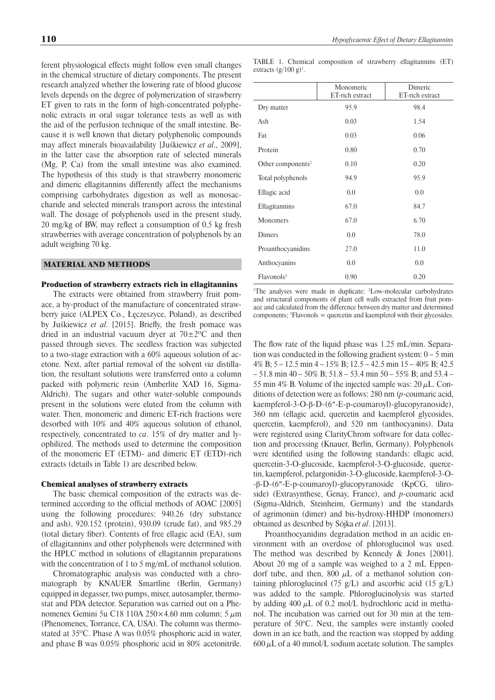ferent physiological effects might follow even small changes in the chemical structure of dietary components. The present research analyzed whether the lowering rate of blood glucose levels depends on the degree of polymerization of strawberry ET given to rats in the form of high-concentrated polyphenolic extracts in oral sugar tolerance tests as well as with the aid of the perfusion technique of the small intestine. Because it is well known that dietary polyphenolic compounds may affect minerals bioavailability [Juśkiewicz *et al*., 2009], in the latter case the absorption rate of selected minerals (Mg, P, Ca) from the small intestine was also examined. The hypothesis of this study is that strawberry monomeric and dimeric ellagitannins differently affect the mechanisms comprising carbohydrates digestion as well as monosaccharide and selected minerals transport across the intestinal wall. The dosage of polyphenols used in the present study,  $20 \text{ mg/kg}$  of BW, may reflect a consumption of 0.5 kg fresh strawberries with average concentration of polyphenols by an adult weighing 70 kg.

#### MATERIAL AND METHODS

#### Production of strawberry extracts rich in ellagitannins

The extracts were obtained from strawberry fruit pomace, a by-product of the manufacture of concentrated strawberry juice (ALPEX Co., Łęczeszyce, Poland), as described by Juśkiewicz et al. [2015]. Briefly, the fresh pomace was dried in an industrial vacuum dryer at  $70\pm2\degree C$  and then passed through sieves. The seedless fraction was subjected to a two-stage extraction with a 60% aqueous solution of acetone. Next, after partial removal of the solvent *via* distillation, the resultant solutions were transferred onto a column packed with polymeric resin (Amberlite XAD 16, Sigma-Aldrich). The sugars and other water-soluble compounds present in the solutions were eluted from the column with water. Then, monomeric and dimeric ET-rich fractions were desorbed with 10% and 40% aqueous solution of ethanol, respectively, concentrated to *ca*. 15% of dry matter and lyophilized. The methods used to determine the composition of the monomeric ET (ETM)- and dimeric ET (ETD)-rich extracts (details in Table 1) are described below.

#### Chemical analyses of strawberry extracts

The basic chemical composition of the extracts was determined according to the official methods of AOAC [2005] using the following procedures: 940.26 (dry substance and ash), 920.152 (protein), 930.09 (crude fat), and 985.29 (total dietary fiber). Contents of free ellagic acid (EA), sum of ellagitannins and other polyphenols were determined with the HPLC method in solutions of ellagitannin preparations with the concentration of 1 to 5 mg/mL of methanol solution.

Chromatographic analysis was conducted with a chromatograph by KNAUER Smartline (Berlin, Germany) equipped in degasser, two pumps, mixer, autosampler, thermostat and PDA detector. Separation was carried out on a Phenomenex Gemini 5u C18 110A 250×4.60 mm column; 5  $μ$ m (Phenomenex, Torrance, CA, USA). The column was thermostated at 35ºC. Phase A was 0.05% phosphoric acid in water, and phase B was 0.05% phosphoric acid in 80% acetonitrile.

TABLE 1. Chemical composition of strawberry ellagitannins (ET) extracts  $(g/100 g)^1$ .

|                               | Monomeric<br>ET-rich extract | Dimeric<br>ET-rich extract |
|-------------------------------|------------------------------|----------------------------|
| Dry matter                    | 95.9                         | 98.4                       |
| Ash                           | 0.03                         | 1.54                       |
| Fat                           | 0.03                         | 0.06                       |
| Protein                       | 0.80                         | 0.70                       |
| Other components <sup>2</sup> | 0.10                         | 0.20                       |
| Total polyphenols             | 94.9                         | 95.9                       |
| Ellagic acid                  | 0.0                          | 0.0                        |
| Ellagitannins                 | 67.0                         | 84.7                       |
| Monomers                      | 67.0                         | 6.70                       |
| Dimers                        | 0.0                          | 78.0                       |
| Proanthocyanidins             | 27.0                         | 11.0                       |
| Anthocyanins                  | 0.0                          | 0.0                        |
| Flavonols <sup>3</sup>        | 0.90                         | 0.20                       |

<sup>1</sup>The analyses were made in duplicate; <sup>2</sup>Low-molecular carbohydrates and structural components of plant cell walls extracted from fruit pomace and calculated from the difference between dry matter and determined components; 3 Flavonols = quercetin and kaempferol with their glycosides.

The flow rate of the liquid phase was  $1.25$  mL/min. Separation was conducted in the following gradient system:  $0 - 5$  min 4% B; 5 – 12.5 min 4 – 15% B; 12.5 – 42.5 min 15 – 40% B; 42.5  $-51.8$  min 40 – 50% B; 51.8 – 53.4 min 50 – 55% B; and 53.4 – 55 min 4% B. Volume of the injected sample was:  $20 \mu L$ . Conditions of detection were as follows: 280 nm (*p*-coumaric acid, kaempferol-3-O-β-D-(6″-E-p-coumaroyl)-glucopyranoside), 360 nm (ellagic acid, quercetin and kaempferol glycosides, quercetin, kaempferol), and 520 nm (anthocyanins). Data were registered using ClarityChrom software for data collection and processing (Knauer, Berlin, Germany). Polyphenols were identified using the following standards: ellagic acid, quercetin-3-O-glucoside, kaempferol-3-O-glucoside, quercetin, kaempferol, pelargonidin-3-O-glucoside, kaempferol-3-O- -β-D-(6″-E-p-coumaroyl)-glucopyranoside (KpCG, tiliroside) (Extrasynthese, Genay, France), and *p*-coumaric acid (Sigma-Aldrich, Steinheim, Germany) and the standards of agrimoniin (dimer) and bis-hydroxy-HHDP (monomers) obtained as described by Sójka *et al*. [2013].

Proanthocyanidins degradation method in an acidic environment with an overdose of phloroglucinol was used. The method was described by Kennedy & Jones [2001]. About 20 mg of a sample was weighed to a 2 mL Eppendorf tube, and then,  $800 \mu L$  of a methanol solution containing phloroglucinol (75 g/L) and ascorbic acid (15 g/L) was added to the sample. Phloroglucinolysis was started by adding 400  $\mu$ L of 0.2 mol/L hydrochloric acid in methanol. The incubation was carried out for 30 min at the temperature of 50°C. Next, the samples were instantly cooled down in an ice bath, and the reaction was stopped by adding  $600 \mu L$  of a 40 mmol/L sodium acetate solution. The samples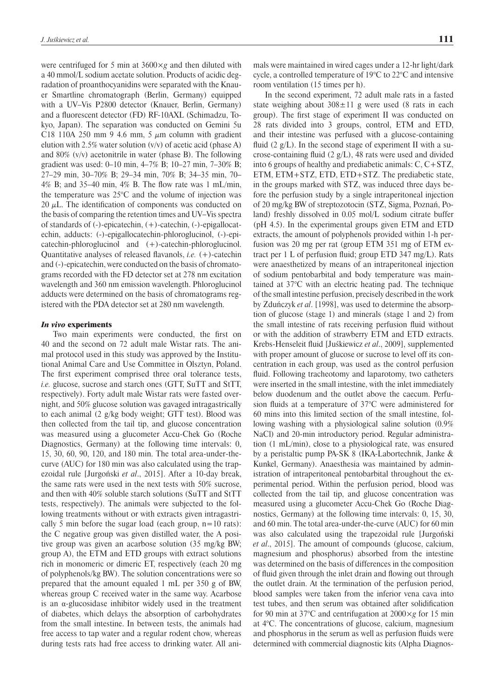were centrifuged for 5 min at 3600×*g* and then diluted with a 40 mmol/L sodium acetate solution. Products of acidic degradation of proanthocyanidins were separated with the Knauer Smartline chromatograph (Berlin, Germany) equipped with a UV–Vis P2800 detector (Knauer, Berlin, Germany) and a fluorescent detector (FD) RF-10AXL (Schimadzu, Tokyo, Japan). The separation was conducted on Gemini 5u C18 110A 250 mm 9 4.6 mm, 5  $\mu$ m column with gradient elution with 2.5% water solution  $(v/v)$  of acetic acid (phase A) and 80% (v/v) acetonitrile in water (phase B). The following gradient was used: 0–10 min, 4–7% B; 10–27 min, 7–30% B; 27–29 min, 30–70% B; 29–34 min, 70% B; 34–35 min, 70– 4% B; and 35–40 min, 4% B. The flow rate was  $1 \text{ mL/min}$ , the temperature was 25°C and the volume of injection was 20  $\mu$ L. The identification of components was conducted on the basis of comparing the retention times and UV–Vis spectra of standards of (-)-epicatechin, (+)-catechin, (-)-epigallocatechin, adducts: (-)-epigallocatechin-phloroglucinol, (-)-epicatechin-phloroglucinol and  $(+)$ -catechin-phloroglucinol. Quantitative analyses of released flavanols, *i.e.* (+)-catechin and (-)-epicatechin, were conducted on the basis of chromatograms recorded with the FD detector set at 278 nm excitation wavelength and 360 nm emission wavelength. Phloroglucinol adducts were determined on the basis of chromatograms registered with the PDA detector set at 280 nm wavelength.

## *In vivo* experiments

Two main experiments were conducted, the first on 40 and the second on 72 adult male Wistar rats. The animal protocol used in this study was approved by the Institutional Animal Care and Use Committee in Olsztyn, Poland. The first experiment comprised three oral tolerance tests, *i.e.* glucose, sucrose and starch ones (GTT, SuTT and StTT, respectively). Forty adult male Wistar rats were fasted overnight, and 50% glucose solution was gavaged intragastrically to each animal (2 g/kg body weight; GTT test). Blood was then collected from the tail tip, and glucose concentration was measured using a glucometer Accu-Chek Go (Roche Diagnostics, Germany) at the following time intervals: 0, 15, 30, 60, 90, 120, and 180 min. The total area-under-thecurve (AUC) for 180 min was also calculated using the trapezoidal rule [Jurgoński *et al*., 2015]. After a 10-day break, the same rats were used in the next tests with 50% sucrose, and then with 40% soluble starch solutions (SuTT and StTT tests, respectively). The animals were subjected to the following treatments without or with extracts given intragastrically 5 min before the sugar load (each group,  $n=10$  rats): the C negative group was given distilled water, the A positive group was given an acarbose solution (35 mg/kg BW; group A), the ETM and ETD groups with extract solutions rich in monomeric or dimeric ET, respectively (each 20 mg of polyphenols/kg BW). The solution concentrations were so prepared that the amount equaled 1 mL per 350 g of BW, whereas group C received water in the same way. Acarbose is an α-glucosidase inhibitor widely used in the treatment of diabetes, which delays the absorption of carbohydrates from the small intestine. In between tests, the animals had free access to tap water and a regular rodent chow, whereas during tests rats had free access to drinking water. All animals were maintained in wired cages under a 12-hr light/dark cycle, a controlled temperature of 19°C to 22°C and intensive room ventilation (15 times per h).

In the second experiment, 72 adult male rats in a fasted state weighing about  $308 \pm 11$  g were used (8 rats in each group). The first stage of experiment II was conducted on 28 rats divided into 3 groups, control, ETM and ETD, and their intestine was perfused with a glucose-containing fluid (2  $g/L$ ). In the second stage of experiment II with a sucrose-containing fluid  $(2 g/L)$ , 48 rats were used and divided into 6 groups of healthy and prediabetic animals: C, C+STZ, ETM, ETM+STZ, ETD, ETD+STZ. The prediabetic state, in the groups marked with STZ, was induced three days before the perfusion study by a single intraperitoneal injection of 20 mg/kg BW of streptozotocin (STZ, Sigma, Poznań, Poland) freshly dissolved in 0.05 mol/L sodium citrate buffer (pH 4.5). In the experimental groups given ETM and ETD extracts, the amount of polyphenols provided within 1-h perfusion was 20 mg per rat (group ETM 351 mg of ETM extract per 1 L of perfusion fluid; group ETD 347 mg/L). Rats were anaesthetized by means of an intraperitoneal injection of sodium pentobarbital and body temperature was maintained at 37°C with an electric heating pad. The technique of the small intestine perfusion, precisely described in the work by Zduńczyk *et al*. [1998], was used to determine the absorption of glucose (stage 1) and minerals (stage 1 and 2) from the small intestine of rats receiving perfusion fluid without or with the addition of strawberry ETM and ETD extracts. Krebs-Henseleit fluid [Juśkiewicz *et al.*, 2009], supplemented with proper amount of glucose or sucrose to level off its concentration in each group, was used as the control perfusion fluid. Following tracheotomy and laparotomy, two catheters were inserted in the small intestine, with the inlet immediately below duodenum and the outlet above the caecum. Perfusion fluids at a temperature of 37°C were administered for 60 mins into this limited section of the small intestine, following washing with a physiological saline solution (0.9% NaCl) and 20-min introductory period. Regular administration (1 mL/min), close to a physiological rate, was ensured by a peristaltic pump PA-SK 8 (IKA-Labortechnik, Janke & Kunkel, Germany). Anaesthesia was maintained by administration of intraperitoneal pentobarbital throughout the experimental period. Within the perfusion period, blood was collected from the tail tip, and glucose concentration was measured using a glucometer Accu-Chek Go (Roche Diagnostics, Germany) at the following time intervals: 0, 15, 30, and 60 min. The total area-under-the-curve (AUC) for 60 min was also calculated using the trapezoidal rule [Jurgoński *et al*., 2015]. The amount of compounds (glucose, calcium, magnesium and phosphorus) absorbed from the intestine was determined on the basis of differences in the composition of fluid given through the inlet drain and flowing out through the outlet drain. At the termination of the perfusion period, blood samples were taken from the inferior vena cava into test tubes, and then serum was obtained after solidification for 90 min at 37°C and centrifugation at 2000×*g* for 15 min at 4°C. The concentrations of glucose, calcium, magnesium and phosphorus in the serum as well as perfusion fluids were determined with commercial diagnostic kits (Alpha Diagnos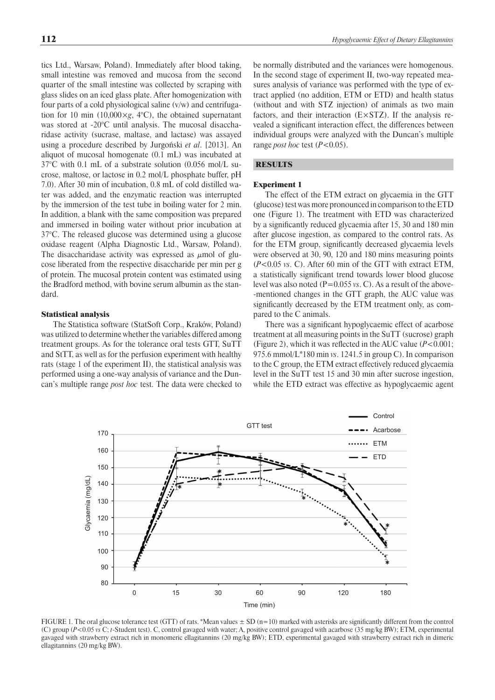tics Ltd., Warsaw, Poland). Immediately after blood taking, small intestine was removed and mucosa from the second quarter of the small intestine was collected by scraping with glass slides on an iced glass plate. After homogenization with four parts of a cold physiological saline (v/w) and centrifugation for 10 min (10,000×*g*, 4°C), the obtained supernatant was stored at -20°C until analysis. The mucosal disaccharidase activity (sucrase, maltase, and lactase) was assayed using a procedure described by Jurgoński *et al*. [2013]. An aliquot of mucosal homogenate (0.1 mL) was incubated at 37°C with 0.1 mL of a substrate solution (0.056 mol/L sucrose, maltose, or lactose in 0.2 mol/L phosphate buffer, pH 7.0). After 30 min of incubation, 0.8 mL of cold distilled water was added, and the enzymatic reaction was interrupted by the immersion of the test tube in boiling water for 2 min. In addition, a blank with the same composition was prepared and immersed in boiling water without prior incubation at 37°C. The released glucose was determined using a glucose oxidase reagent (Alpha Diagnostic Ltd., Warsaw, Poland). The disaccharidase activity was expressed as  $\mu$ mol of glucose liberated from the respective disaccharide per min per g of protein. The mucosal protein content was estimated using the Bradford method, with bovine serum albumin as the standard.

# Statistical analysis

The Statistica software (StatSoft Corp., Kraków, Poland) was utilized to determine whether the variables differed among treatment groups. As for the tolerance oral tests GTT, SuTT and StTT, as well as for the perfusion experiment with healthy rats (stage 1 of the experiment II), the statistical analysis was performed using a one-way analysis of variance and the Duncan's multiple range *post hoc* test. The data were checked to be normally distributed and the variances were homogenous. In the second stage of experiment II, two-way repeated measures analysis of variance was performed with the type of extract applied (no addition, ETM or ETD) and health status (without and with STZ injection) of animals as two main factors, and their interaction  $(E \times STZ)$ . If the analysis revealed a significant interaction effect, the differences between individual groups were analyzed with the Duncan's multiple range *post hoc* test (*P*<0.05).

## RESULTS

#### Experiment 1

The effect of the ETM extract on glycaemia in the GTT (glucose) test was more pronounced in comparison to theETD one (Figure 1). The treatment with ETD was characterized by a significantly reduced glycaemia after 15, 30 and 180 min after glucose ingestion, as compared to the control rats. As for the ETM group, significantly decreased glycaemia levels were observed at 30, 90, 120 and 180 mins measuring points (*P*<0.05 *vs*. C). After 60 min of the GTT with extract ETM, a statistically significant trend towards lower blood glucose level was also noted (P=0.055 *vs*. C). As a result of the above- -mentioned changes in the GTT graph, the AUC value was significantly decreased by the ETM treatment only, as compared to the C animals.

There was a significant hypoglycaemic effect of acarbose treatment at all measuring points in the SuTT (sucrose) graph (Figure 2), which it was reflected in the AUC value  $(P<0.001)$ ; 975.6 mmol/L\*180 min *vs*. 1241.5 in group C). In comparison to the C group, the ETM extract effectively reduced glycaemia level in the SuTT test 15 and 30 min after sucrose ingestion, while the ETD extract was effective as hypoglycaemic agent



FIGURE 1. The oral glucose tolerance test (GTT) of rats. \*Mean values  $\pm$  SD (n=10) marked with asterisks are significantly different from the control (C) group (*P*<0.05 *vs* C; *t*-Student test). C, control gavaged with water; A, positive control gavaged with acarbose (35 mg/kg BW); ETM, experimental gavaged with strawberry extract rich in monomeric ellagitannins (20 mg/kg BW); ETD, experimental gavaged with strawberry extract rich in dimeric ellagitannins (20 mg/kg BW).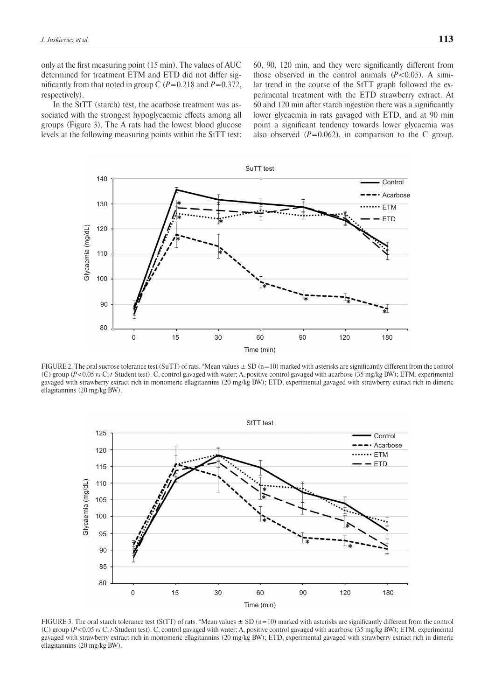only at the first measuring point (15 min). The values of AUC determined for treatment ETM and ETD did not differ significantly from that noted in group C  $(P=0.218$  and  $P=0.372$ , respectively).

In the StTT (starch) test, the acarbose treatment was associated with the strongest hypoglycaemic effects among all groups (Figure 3). The A rats had the lowest blood glucose levels at the following measuring points within the StTT test:

60, 90, 120 min, and they were significantly different from those observed in the control animals  $(P<0.05)$ . A similar trend in the course of the StTT graph followed the experimental treatment with the ETD strawberry extract. At 60 and 120 min after starch ingestion there was a significantly lower glycaemia in rats gavaged with ETD, and at 90 min point a significant tendency towards lower glycaemia was also observed  $(P=0.062)$ , in comparison to the C group.



FIGURE 2. The oral sucrose tolerance test (SuTT) of rats. \*Mean values  $\pm$  SD (n=10) marked with asterisks are significantly different from the control (C) group (*P*<0.05 *vs* C; *t*-Student test). C, control gavaged with water; A, positive control gavaged with acarbose (35 mg/kg BW); ETM, experimental gavaged with strawberry extract rich in monomeric ellagitannins (20 mg/kg BW); ETD, experimental gavaged with strawberry extract rich in dimeric ellagitannins (20 mg/kg BW).



FIGURE 3. The oral starch tolerance test (StTT) of rats. \*Mean values  $\pm$  SD (n=10) marked with asterisks are significantly different from the control (C) group (*P*<0.05 *vs* C; *t*-Student test). C, control gavaged with water; A, positive control gavaged with acarbose (35 mg/kg BW); ETM, experimental gavaged with strawberry extract rich in monomeric ellagitannins (20 mg/kg BW); ETD, experimental gavaged with strawberry extract rich in dimeric ellagitannins (20 mg/kg BW).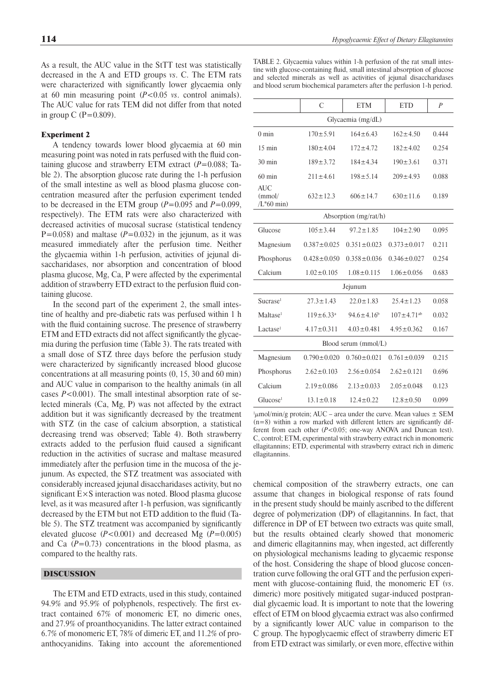As a result, the AUC value in the StTT test was statistically decreased in the A and ETD groups *vs*. C. The ETM rats were characterized with significantly lower glycaemia only at 60 min measuring point (*P*<0.05 *vs*. control animals). The AUC value for rats TEM did not differ from that noted in group C ( $P=0.809$ ).

# Experiment 2

A tendency towards lower blood glycaemia at 60 min measuring point was noted in rats perfused with the fluid containing glucose and strawberry ETM extract (*P*=0.088; Table 2). The absorption glucose rate during the 1-h perfusion of the small intestine as well as blood plasma glucose concentration measured after the perfusion experiment tended to be decreased in the ETM group  $(P=0.095$  and  $P=0.099$ , respectively). The ETM rats were also characterized with decreased activities of mucosal sucrase (statistical tendency  $P=0.058$ ) and maltase ( $P=0.032$ ) in the jejunum, as it was measured immediately after the perfusion time. Neither the glycaemia within 1-h perfusion, activities of jejunal disaccharidases, nor absorption and concentration of blood plasma glucose, Mg, Ca, P were affected by the experimental addition of strawberry ETD extract to the perfusion fluid containing glucose.

In the second part of the experiment 2, the small intestine of healthy and pre-diabetic rats was perfused within 1 h with the fluid containing sucrose. The presence of strawberry ETM and ETD extracts did not affect significantly the glycaemia during the perfusion time (Table 3). The rats treated with a small dose of STZ three days before the perfusion study were characterized by significantly increased blood glucose concentrations at all measuring points (0, 15, 30 and 60 min) and AUC value in comparison to the healthy animals (in all cases *P*<0.001). The small intestinal absorption rate of selected minerals (Ca, Mg, P) was not affected by the extract addition but it was significantly decreased by the treatment with STZ (in the case of calcium absorption, a statistical decreasing trend was observed; Table 4). Both strawberry extracts added to the perfusion fluid caused a significant reduction in the activities of sucrase and maltase measured immediately after the perfusion time in the mucosa of the jejunum. As expected, the STZ treatment was associated with considerably increased jejunal disaccharidases activity, but no significant  $E \times S$  interaction was noted. Blood plasma glucose level, as it was measured after 1-h perfusion, was significantly decreased by the ETM but not ETD addition to the fluid (Table 5). The STZ treatment was accompanied by significantly elevated glucose  $(P<0.001)$  and decreased Mg  $(P=0.005)$ and Ca  $(P=0.73)$  concentrations in the blood plasma, as compared to the healthy rats.

#### DISCUSSION

The ETM and ETD extracts, used in this study, contained 94.9% and 95.9% of polyphenols, respectively. The first extract contained 67% of monomeric ET, no dimeric ones, and 27.9% of proanthocyanidins. The latter extract contained 6.7% of monomeric ET, 78% of dimeric ET, and 11.2% of proanthocyanidins. Taking into account the aforementioned

TABLE 2. Glycaemia values within 1-h perfusion of the rat small intestine with glucose-containing fluid, small intestinal absorption of glucose and selected minerals as well as activities of jejunal disaccharidases and blood serum biochemical parameters after the perfusion 1-h period.

|                                      | C                           | <b>ETM</b>        | <b>ETD</b>                   | $\overline{P}$ |  |  |
|--------------------------------------|-----------------------------|-------------------|------------------------------|----------------|--|--|
| Glycaemia (mg/dL)                    |                             |                   |                              |                |  |  |
| $0 \text{ min}$                      | $170 \pm 5.91$              | $164 + 643$       | $162 + 450$                  |                |  |  |
| $15 \text{ min}$                     | $180 \pm 4.04$              | $172 + 4.72$      | $182 \pm 4.02$               |                |  |  |
| $30 \text{ min}$                     | $189 \pm 3.72$              | $184 \pm 4.34$    | $190 \pm 3.61$               | 0.371          |  |  |
| $60 \text{ min}$                     | $211 \pm 4.61$              | $198 \pm 5.14$    | $209 \pm 4.93$               | 0.088          |  |  |
| <b>AUC</b><br>(mmol/<br>$/L*60$ min) | $632 \pm 12.3$              | $606 \pm 14.7$    | $630 \pm 11.6$               | 0.189          |  |  |
| Absorption (mg/rat/h)                |                             |                   |                              |                |  |  |
| Glucose                              | $105 \pm 3.44$              | $97.2 \pm 1.85$   | $104 \pm 2.90$               | 0.095          |  |  |
| Magnesium                            | $0.387 \pm 0.025$           | $0.351 \pm 0.023$ | $0.373 \pm 0.017$            | 0.211          |  |  |
| Phosphorus                           | $0.428 \pm 0.050$           | $0.358 \pm 0.036$ | $0.346 \pm 0.027$            | 0.254          |  |  |
| Calcium                              | $1.02 \pm 0.105$            | $1.08 \pm 0.115$  | $1.06 \pm 0.056$             | 0.683          |  |  |
| Jejunum                              |                             |                   |                              |                |  |  |
| Sucrase <sup>1</sup>                 | $27.3 \pm 1.43$             | $22.0 \pm 1.83$   | $25.4 \pm 1.23$              | 0.058          |  |  |
| Maltase <sup>1</sup>                 | $119 \pm 6.33$ <sup>a</sup> | $94.6 \pm 4.16^b$ | $107 \pm 4.71$ <sup>ab</sup> | 0.032          |  |  |
| Lactase <sup>1</sup>                 | $4.17 \pm 0.311$            | $4.03 \pm 0.481$  | $4.95 \pm 0.362$             | 0.167          |  |  |
| Blood serum (mmol/L)                 |                             |                   |                              |                |  |  |
| Magnesium                            | $0.790 \pm 0.020$           | $0.760 \pm 0.021$ | $0.761 \pm 0.039$            | 0.215          |  |  |
| Phosphorus                           | $2.62 \pm 0.103$            | $2.56 \pm 0.054$  | $2.62 \pm 0.121$             | 0.696          |  |  |
| Calcium                              | $2.19 \pm 0.086$            | $2.13 \pm 0.033$  | $2.05 \pm 0.048$             | 0.123          |  |  |
| Glucose <sup>1</sup>                 | $13.1 \pm 0.18$             | $12.4 \pm 0.22$   | $12.8 \pm 0.50$              | 0.099          |  |  |

<sup>1</sup> $\mu$ mol/min/g protein; AUC – area under the curve. Mean values  $\pm$  SEM  $(n=8)$  within a row marked with different letters are significantly different from each other (*P*<0.05; one-way ANOVA and Duncan test). C, control; ETM, experimental with strawberry extract rich in monomeric ellagitannins; ETD, experimental with strawberry extract rich in dimeric ellagitannins.

chemical composition of the strawberry extracts, one can assume that changes in biological response of rats found in the present study should be mainly ascribed to the different degree of polymerization (DP) of ellagitannins. In fact, that difference in DP of ET between two extracts was quite small, but the results obtained clearly showed that monomeric and dimeric ellagitannins may, when ingested, act differently on physiological mechanisms leading to glycaemic response of the host. Considering the shape of blood glucose concentration curve following the oral GTT and the perfusion experiment with glucose-containing fluid, the monomeric ET (*vs*. dimeric) more positively mitigated sugar-induced postprandial glycaemic load. It is important to note that the lowering effect of ETM on blood glycaemia extract was also confirmed by a significantly lower AUC value in comparison to the C group. The hypoglycaemic effect of strawberry dimeric ET from ETD extract was similarly, or even more, effective within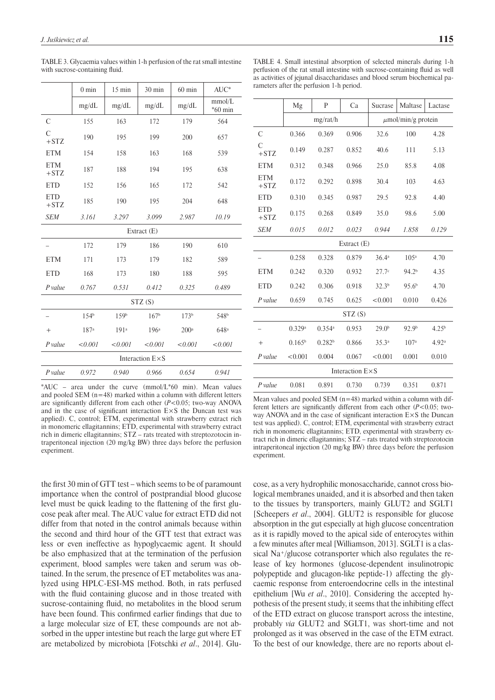|                          | $0 \text{ min}$   | 15 min           | 30 min           | 60 min           | $AUC^*$             |  |
|--------------------------|-------------------|------------------|------------------|------------------|---------------------|--|
|                          | mg/dL             | mg/dL            | mg/dL            | mg/dL            | mmol/L<br>$*60$ min |  |
| C                        | 155               | 163              | 172              | 179              | 564                 |  |
| $\overline{C}$<br>$+STZ$ | 190               | 195              | 199              | 200              | 657                 |  |
| <b>ETM</b>               | 154               | 158              | 163              | 168              | 539                 |  |
| <b>ETM</b><br>$+STZ$     | 187               | 188              | 194              | 195              | 638                 |  |
| <b>ETD</b>               | 152               | 156              | 165              | 172              | 542                 |  |
| <b>ETD</b><br>$+STZ$     | 185               | 190              | 195              | 204              | 648                 |  |
| <b>SEM</b>               | 3.161             | 3.297            | 3.099            | 2.987            | 10.19               |  |
|                          |                   |                  | Extract (E)      |                  |                     |  |
|                          | 172               | 179              | 186              | 190              | 610                 |  |
| <b>ETM</b>               | 171               | 173              | 179              | 182              | 589                 |  |
| <b>ETD</b>               | 168               | 173              | 180              | 188              | 595                 |  |
| $P$ value                | 0.767             | 0.531            | 0.412            | 0.325            | 0.489               |  |
| STZ(S)                   |                   |                  |                  |                  |                     |  |
|                          | 1.54 <sup>b</sup> | 159b             | 167 <sup>b</sup> | 173 <sup>b</sup> | 548 <sup>b</sup>    |  |
| $+$                      | 187 <sup>a</sup>  | 191 <sup>a</sup> | 196 <sup>a</sup> | 200 <sup>a</sup> | 648 <sup>a</sup>    |  |
| $P$ value                | < 0.001           | < 0.001          | < 0.001          | < 0.001          | < 0.001             |  |
| Interaction $E \times S$ |                   |                  |                  |                  |                     |  |
| $P$ value                | 0.972             | 0.940            | 0.966            | 0.654            | 0.941               |  |

TABLE 3. Glycaemia values within 1-h perfusion of the rat small intestine with sucrose-containing fluid.

TABLE 4. Small intestinal absorption of selected minerals during 1-h perfusion of the rat small intestine with sucrose-containing fluid as well as activities of jejunal disaccharidases and blood serum biochemical parameters after the perfusion 1-h period.

|                          | Mg              | P                  | Ca          | Sucrase                 | Maltase           | Lactase           |
|--------------------------|-----------------|--------------------|-------------|-------------------------|-------------------|-------------------|
|                          |                 | mg/rat/h           |             | $\mu$ mol/min/g protein |                   |                   |
| С                        | 0.366           | 0.369              | 0.906       | 32.6                    | 100               | 4.28              |
| Ċ<br>$+STZ$              | 0.149           | 0.287              | 0.852       | 40.6                    | 111               | 5.13              |
| <b>ETM</b>               | 0.312           | 0.348              | 0.966       | 25.0                    | 85.8              | 4.08              |
| <b>ETM</b><br>$+STZ$     | 0.172           | 0.292              | 0.898       | 30.4                    | 103               | 4.63              |
| <b>ETD</b>               | 0.310           | 0.345              | 0.987       | 29.5                    | 92.8              | 4.40              |
| <b>ETD</b><br>$+STZ$     | 0.175           | 0.268              | 0.849       | 35.0                    | 98.6              | 5.00              |
| <b>SEM</b>               | 0.015           | 0.012              | 0.023       | 0.944                   | 1.858             | 0.129             |
|                          |                 |                    | Extract (E) |                         |                   |                   |
|                          | 0.258           | 0.328              | 0.879       | 36.4 <sup>a</sup>       | 105 <sup>a</sup>  | 4.70              |
| <b>ETM</b>               | 0.242           | 0.320              | 0.932       | 27.7 <sup>c</sup>       | 94.2 <sup>b</sup> | 4.35              |
| <b>ETD</b>               | 0.242           | 0.306              | 0.918       | 32.3 <sup>b</sup>       | 95.6 <sup>b</sup> | 4.70              |
| $P$ value                | 0.659           | 0.745              | 0.625       | < 0.001                 | 0.010             | 0.426             |
| STZ(S)                   |                 |                    |             |                         |                   |                   |
|                          | 0.329a          | 0.354a             | 0.953       | 29.0 <sup>b</sup>       | 92.9 <sup>b</sup> | 4.25 <sup>b</sup> |
| $^+$                     | $0.165^{\rm b}$ | 0.282 <sup>b</sup> | 0.866       | 35.3a                   | 107 <sup>a</sup>  | 4.92 <sup>a</sup> |
| $P$ value                | < 0.001         | 0.004              | 0.067       | < 0.001                 | 0.001             | 0.010             |
| Interaction $E \times S$ |                 |                    |             |                         |                   |                   |
| P value                  | 0.081           | 0.891              | 0.730       | 0.739                   | 0.351             | 0.871             |

 $*AUC$  – area under the curve (mmol/L $*60$  min). Mean values and pooled SEM  $(n=48)$  marked within a column with different letters are significantly different from each other  $(P<0.05$ ; two-way ANOVA and in the case of significant interaction  $E \times S$  the Duncan test was applied). C, control; ETM, experimental with strawberry extract rich in monomeric ellagitannins; ETD, experimental with strawberry extract rich in dimeric ellagitannins; STZ – rats treated with streptozotocin intraperitoneal injection (20 mg/kg BW) three days before the perfusion experiment.

the first 30 min of GTT test – which seems to be of paramount importance when the control of postprandial blood glucose level must be quick leading to the flattening of the first glucose peak after meal. The AUC value for extract ETD did not differ from that noted in the control animals because within the second and third hour of the GTT test that extract was less or even ineffective as hypoglycaemic agent. It should be also emphasized that at the termination of the perfusion experiment, blood samples were taken and serum was obtained. In the serum, the presence of ET metabolites was analyzed using HPLC-ESI-MS method. Both, in rats perfused with the fluid containing glucose and in those treated with sucrose-containing fluid, no metabolites in the blood serum have been found. This confirmed earlier findings that due to a large molecular size of ET, these compounds are not absorbed in the upper intestine but reach the large gut where ET are metabolized by microbiota [Fotschki *et al*., 2014]. Glu-

Mean values and pooled SEM  $(n=48)$  marked within a column with different letters are significantly different from each other  $(P<0.05$ ; twoway ANOVA and in the case of significant interaction  $E \times S$  the Duncan test was applied). C, control; ETM, experimental with strawberry extract rich in monomeric ellagitannins; ETD, experimental with strawberry extract rich in dimeric ellagitannins; STZ – rats treated with streptozotocin intraperitoneal injection (20 mg/kg BW) three days before the perfusion experiment.

cose, as a very hydrophilic monosaccharide, cannot cross biological membranes unaided, and it is absorbed and then taken to the tissues by transporters, mainly GLUT2 and SGLT1 [Scheepers *et al*., 2004]. GLUT2 is responsible for glucose absorption in the gut especially at high glucose concentration as it is rapidly moved to the apical side of enterocytes within a few minutes after meal [Williamson, 2013]. SGLT1 is a classical Na+/glucose cotransporter which also regulates the release of key hormones (glucose-dependent insulinotropic polypeptide and glucagon-like peptide-1) affecting the glycaemic response from enteroendocrine cells in the intestinal epithelium [Wu *et al*., 2010]. Considering the accepted hypothesis of the present study, it seems that the inhibiting effect of the ETD extract on glucose transport across the intestine, probably *via* GLUT2 and SGLT1, was short-time and not prolonged as it was observed in the case of the ETM extract. To the best of our knowledge, there are no reports about el-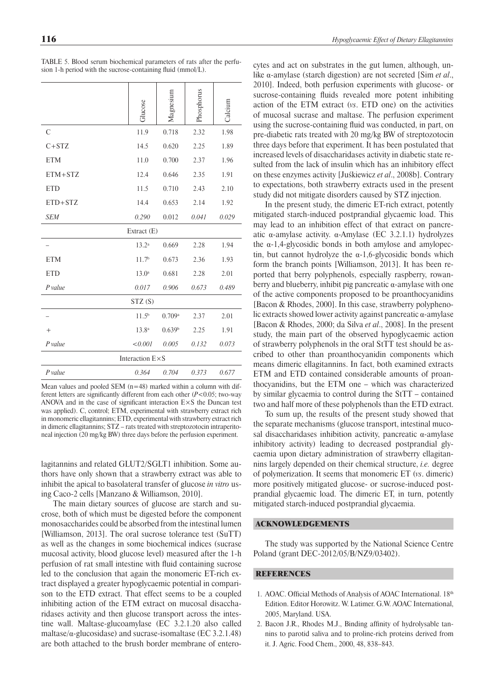|                 | Glucose           | Magnesium          | Phosphorus | Calcium |  |  |
|-----------------|-------------------|--------------------|------------|---------|--|--|
| $\mathcal{C}$   | 11.9              | 0.718              | 2.32       | 1.98    |  |  |
| $C+STZ$         | 14.5              | 0.620              | 2.25       | 1.89    |  |  |
| <b>ETM</b>      | 11.0              | 0.700              | 2.37       | 1.96    |  |  |
| ETM+STZ         | 12.4              | 0.646              | 2.35       | 1.91    |  |  |
| <b>ETD</b>      | 11.5              | 0.710              | 2.43       | 2.10    |  |  |
| $ETD+STZ$       | 14.4              | 0.653              | 2.14       | 1.92    |  |  |
| <b>SEM</b>      | 0.290             | 0.012              | 0.041      | 0.029   |  |  |
| Extract (E)     |                   |                    |            |         |  |  |
|                 | 13.2 <sup>a</sup> | 0.669              | 2.28       | 1.94    |  |  |
| <b>ETM</b>      | 11.7 <sup>b</sup> | 0.673              | 2.36       | 1.93    |  |  |
| <b>ETD</b>      | 13.0 <sup>a</sup> | 0.681              | 2.28       | 2.01    |  |  |
| $P$ value       | 0.017             | 0.906              | 0.673      | 0.489   |  |  |
| STZ(S)          |                   |                    |            |         |  |  |
|                 | $11.5^{b}$        | 0.709a             | 2.37       | 2.01    |  |  |
| $+$             | 13.8 <sup>a</sup> | 0.639 <sup>b</sup> | 2.25       | 1.91    |  |  |
| $P$ value       | < 0.001           | 0.005              | 0.132      | 0.073   |  |  |
| Interaction E×S |                   |                    |            |         |  |  |
| $P$ value       | 0.364             | 0.704              | 0.373      | 0.677   |  |  |

TABLE 5. Blood serum biochemical parameters of rats after the perfusion 1-h period with the sucrose-containing fluid ( $mmol/L$ ).

Mean values and pooled SEM (n=48) marked within a column with different letters are significantly different from each other  $(P<0.05$ ; two-way ANOVA and in the case of significant interaction  $E \times S$  the Duncan test was applied). C, control; ETM, experimental with strawberry extract rich in monomeric ellagitannins; ETD, experimental with strawberry extract rich in dimeric ellagitannins; STZ – rats treated with streptozotocin intraperitoneal injection (20 mg/kg BW) three days before the perfusion experiment.

lagitannins and related GLUT2/SGLT1 inhibition. Some authors have only shown that a strawberry extract was able to inhibit the apical to basolateral transfer of glucose *in vitro* using Caco-2 cells [Manzano & Williamson, 2010].

The main dietary sources of glucose are starch and sucrose, both of which must be digested before the component monosaccharides could be absorbed from the intestinal lumen [Williamson, 2013]. The oral sucrose tolerance test (SuTT) as well as the changes in some biochemical indices (sucrase mucosal activity, blood glucose level) measured after the 1-h perfusion of rat small intestine with fluid containing sucrose led to the conclusion that again the monomeric ET-rich extract displayed a greater hypoglycaemic potential in comparison to the ETD extract. That effect seems to be a coupled inhibiting action of the ETM extract on mucosal disaccharidases activity and then glucose transport across the intestine wall. Maltase-glucoamylase (EC 3.2.1.20 also called maltase/ $\alpha$ -glucosidase) and sucrase-isomaltase (EC 3.2.1.48) are both attached to the brush border membrane of enterocytes and act on substrates in the gut lumen, although, unlike α-amylase (starch digestion) are not secreted [Sim *et al*., 2010]. Indeed, both perfusion experiments with glucose- or sucrose-containing fluids revealed more potent inhibiting action of the ETM extract (*vs*. ETD one) on the activities of mucosal sucrase and maltase. The perfusion experiment using the sucrose-containing fluid was conducted, in part, on pre-diabetic rats treated with 20 mg/kg BW of streptozotocin three days before that experiment. It has been postulated that increased levels of disaccharidases activity in diabetic state resulted from the lack of insulin which has an inhibitory effect on these enzymes activity [Juśkiewicz *et al*., 2008b]. Contrary to expectations, both strawberry extracts used in the present study did not mitigate disorders caused by STZ injection.

In the present study, the dimeric ET-rich extract, potently mitigated starch-induced postprandial glycaemic load. This may lead to an inhibition effect of that extract on pancreatic α-amylase activity. α-Amylase (EC 3.2.1.1) hydrolyzes the  $\alpha$ -1,4-glycosidic bonds in both amylose and amylopectin, but cannot hydrolyze the  $\alpha$ -1,6-glycosidic bonds which form the branch points [Williamson, 2013]. It has been reported that berry polyphenols, especially raspberry, rowanberry and blueberry, inhibit pig pancreatic  $\alpha$ -amylase with one of the active components proposed to be proanthocyanidins [Bacon & Rhodes, 2000]. In this case, strawberry polyphenolic extracts showed lower activity against pancreatic α-amylase [Bacon & Rhodes, 2000; da Silva *et al*., 2008]. In the present study, the main part of the observed hypoglycaemic action of strawberry polyphenols in the oral StTT test should be ascribed to other than proanthocyanidin components which means dimeric ellagitannins. In fact, both examined extracts ETM and ETD contained considerable amounts of proanthocyanidins, but the ETM one – which was characterized by similar glycaemia to control during the StTT – contained two and half more of these polyphenols than the ETD extract.

To sum up, the results of the present study showed that the separate mechanisms (glucose transport, intestinal mucosal disaccharidases inhibition activity, pancreatic α-amylase inhibitory activity) leading to decreased postprandial glycaemia upon dietary administration of strawberry ellagitannins largely depended on their chemical structure, *i.e.* degree of polymerization. It seems that monomeric ET (*vs*. dimeric) more positively mitigated glucose- or sucrose-induced postprandial glycaemic load. The dimeric ET, in turn, potently mitigated starch-induced postprandial glycaemia.

#### ACKNOWLEDGEMENTS

The study was supported by the National Science Centre Poland (grant DEC-2012/05/B/NZ9/03402).

# **REFERENCES**

- 1. AOAC. Official Methods of Analysis of AOAC International. 18th Edition. Editor Horowitz. W. Latimer. G.W. AOAC International, 2005, Maryland. USA.
- 2. Bacon J.R., Rhodes M.J., Binding affinity of hydrolysable tannins to parotid saliva and to proline-rich proteins derived from it. J. Agric. Food Chem., 2000, 48, 838–843.